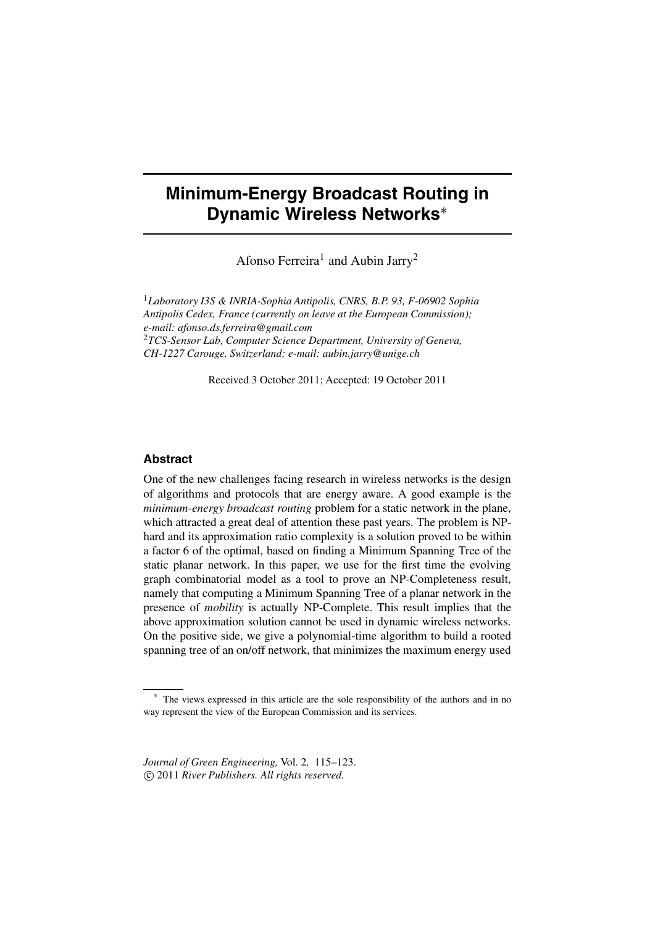# **Minimum-Energy Broadcast Routing in Dynamic Wireless Networks**<sup>∗</sup>

Afonso Ferreira<sup>1</sup> and Aubin Jarry<sup>2</sup>

<sup>1</sup>*Laboratory I3S & INRIA-Sophia Antipolis, CNRS, B.P. 93, F-06902 Sophia Antipolis Cedex, France (currently on leave at the European Commission); e-mail: afonso.ds.ferreira@gmail.com* <sup>2</sup>*TCS-Sensor Lab, Computer Science Department, University of Geneva, CH-1227 Carouge, Switzerland; e-mail: aubin.jarry@unige.ch*

Received 3 October 2011; Accepted: 19 October 2011

### **Abstract**

One of the new challenges facing research in wireless networks is the design of algorithms and protocols that are energy aware. A good example is the *minimum-energy broadcast routing* problem for a static network in the plane, which attracted a great deal of attention these past years. The problem is NPhard and its approximation ratio complexity is a solution proved to be within a factor 6 of the optimal, based on finding a Minimum Spanning Tree of the static planar network. In this paper, we use for the first time the evolving graph combinatorial model as a tool to prove an NP-Completeness result, namely that computing a Minimum Spanning Tree of a planar network in the presence of *mobility* is actually NP-Complete. This result implies that the above approximation solution cannot be used in dynamic wireless networks. On the positive side, we give a polynomial-time algorithm to build a rooted spanning tree of an on/off network, that minimizes the maximum energy used

*Journal of Green Engineering,* Vol. 2*,* 115–123. -c 2011 *River Publishers. All rights reserved.*

The views expressed in this article are the sole responsibility of the authors and in no way represent the view of the European Commission and its services.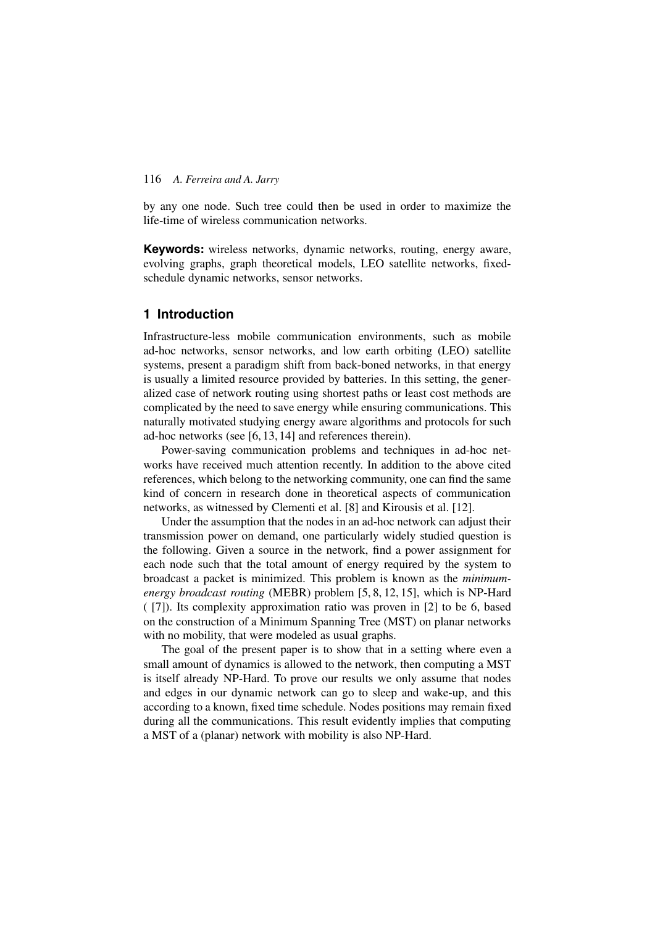by any one node. Such tree could then be used in order to maximize the life-time of wireless communication networks.

**Keywords:** wireless networks, dynamic networks, routing, energy aware, evolving graphs, graph theoretical models, LEO satellite networks, fixedschedule dynamic networks, sensor networks.

## **1 Introduction**

Infrastructure-less mobile communication environments, such as mobile ad-hoc networks, sensor networks, and low earth orbiting (LEO) satellite systems, present a paradigm shift from back-boned networks, in that energy is usually a limited resource provided by batteries. In this setting, the generalized case of network routing using shortest paths or least cost methods are complicated by the need to save energy while ensuring communications. This naturally motivated studying energy aware algorithms and protocols for such ad-hoc networks (see [6, 13, 14] and references therein).

Power-saving communication problems and techniques in ad-hoc networks have received much attention recently. In addition to the above cited references, which belong to the networking community, one can find the same kind of concern in research done in theoretical aspects of communication networks, as witnessed by Clementi et al. [8] and Kirousis et al. [12].

Under the assumption that the nodes in an ad-hoc network can adjust their transmission power on demand, one particularly widely studied question is the following. Given a source in the network, find a power assignment for each node such that the total amount of energy required by the system to broadcast a packet is minimized. This problem is known as the *minimumenergy broadcast routing* (MEBR) problem [5, 8, 12, 15], which is NP-Hard ( [7]). Its complexity approximation ratio was proven in [2] to be 6, based on the construction of a Minimum Spanning Tree (MST) on planar networks with no mobility, that were modeled as usual graphs.

The goal of the present paper is to show that in a setting where even a small amount of dynamics is allowed to the network, then computing a MST is itself already NP-Hard. To prove our results we only assume that nodes and edges in our dynamic network can go to sleep and wake-up, and this according to a known, fixed time schedule. Nodes positions may remain fixed during all the communications. This result evidently implies that computing a MST of a (planar) network with mobility is also NP-Hard.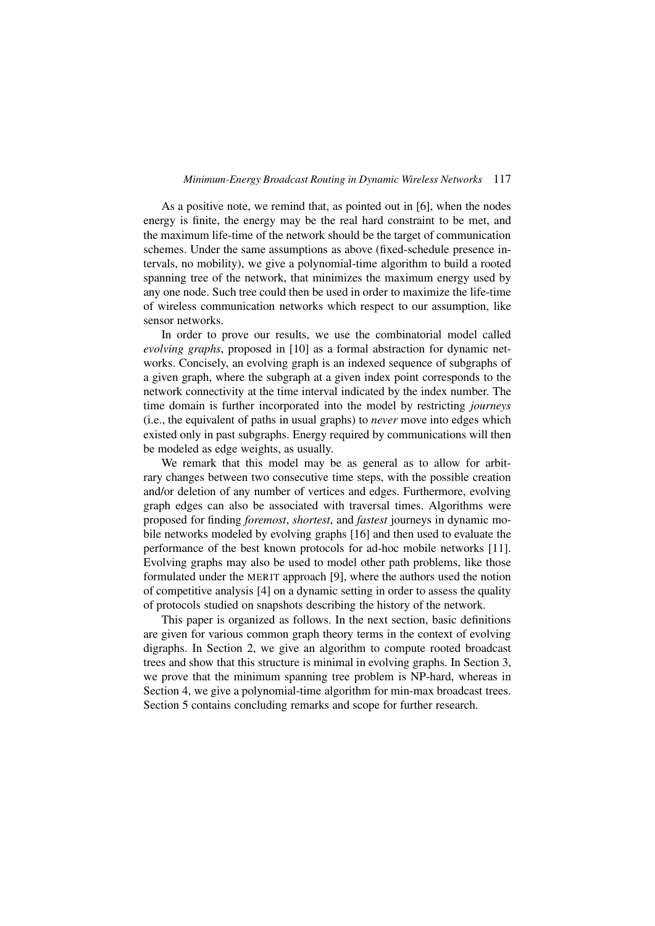#### *Minimum-Energy Broadcast Routing in Dynamic Wireless Networks* 117

As a positive note, we remind that, as pointed out in [6], when the nodes energy is finite, the energy may be the real hard constraint to be met, and the maximum life-time of the network should be the target of communication schemes. Under the same assumptions as above (fixed-schedule presence intervals, no mobility), we give a polynomial-time algorithm to build a rooted spanning tree of the network, that minimizes the maximum energy used by any one node. Such tree could then be used in order to maximize the life-time of wireless communication networks which respect to our assumption, like sensor networks.

In order to prove our results, we use the combinatorial model called *evolving graphs*, proposed in [10] as a formal abstraction for dynamic networks. Concisely, an evolving graph is an indexed sequence of subgraphs of a given graph, where the subgraph at a given index point corresponds to the network connectivity at the time interval indicated by the index number. The time domain is further incorporated into the model by restricting *journeys* (i.e., the equivalent of paths in usual graphs) to *never* move into edges which existed only in past subgraphs. Energy required by communications will then be modeled as edge weights, as usually.

We remark that this model may be as general as to allow for arbitrary changes between two consecutive time steps, with the possible creation and/or deletion of any number of vertices and edges. Furthermore, evolving graph edges can also be associated with traversal times. Algorithms were proposed for finding *foremost*, *shortest*, and *fastest* journeys in dynamic mobile networks modeled by evolving graphs [16] and then used to evaluate the performance of the best known protocols for ad-hoc mobile networks [11]. Evolving graphs may also be used to model other path problems, like those formulated under the MERIT approach [9], where the authors used the notion of competitive analysis [4] on a dynamic setting in order to assess the quality of protocols studied on snapshots describing the history of the network.

This paper is organized as follows. In the next section, basic definitions are given for various common graph theory terms in the context of evolving digraphs. In Section 2, we give an algorithm to compute rooted broadcast trees and show that this structure is minimal in evolving graphs. In Section 3, we prove that the minimum spanning tree problem is NP-hard, whereas in Section 4, we give a polynomial-time algorithm for min-max broadcast trees. Section 5 contains concluding remarks and scope for further research.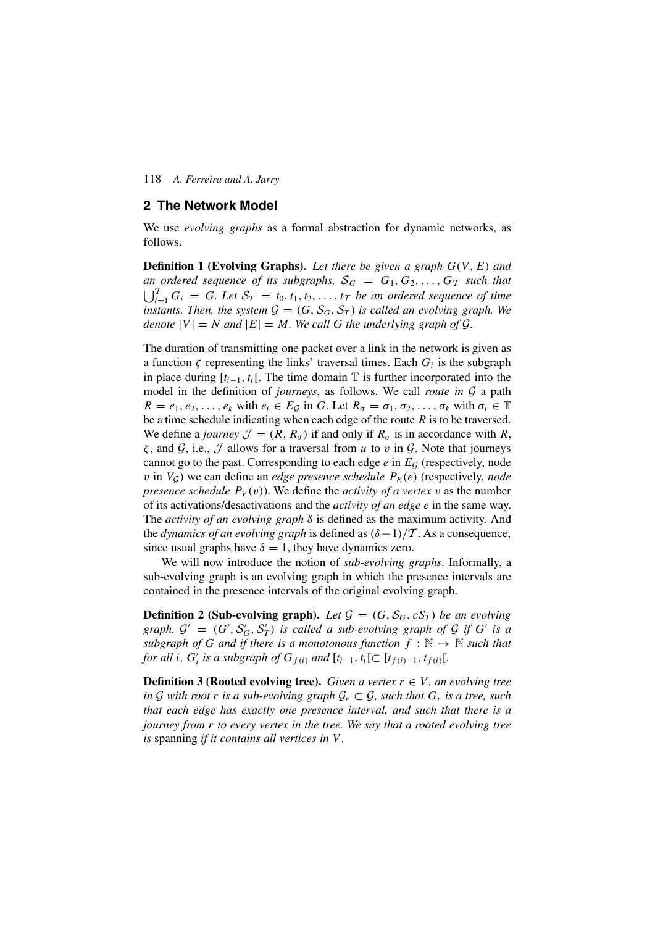### **2 The Network Model**

We use *evolving graphs* as a formal abstraction for dynamic networks, as follows.

**Definition 1 (Evolving Graphs).** *Let there be given a graph G(V,E) and an ordered sequence of its subgraphs,*  $S_G = G_1, G_2, \ldots, G_T$  *such that*  $\bigcup_{i=1}^{T} G_i = G$ *. Let*  $S_T = t_0, t_1, t_2, \ldots, t_T$  *be an ordered sequence of time instants. Then, the system*  $G = (G, S_G, S_T)$  *is called an evolving graph. We denote*  $|V| = N$  *and*  $|E| = M$ *. We call G the underlying graph of G.* 

The duration of transmitting one packet over a link in the network is given as a function  $\zeta$  representing the links' traversal times. Each  $G_i$  is the subgraph in place during  $[t_{i-1}, t_i]$ . The time domain  $\mathbb T$  is further incorporated into the model in the definition of *journeys*, as follows. We call *route in*  $G$  a path  $R = e_1, e_2, \ldots, e_k$  with  $e_i \in E_G$  in *G*. Let  $R_\sigma = \sigma_1, \sigma_2, \ldots, \sigma_k$  with  $\sigma_i \in \mathbb{T}$ be a time schedule indicating when each edge of the route *R* is to be traversed. We define a *journey*  $\mathcal{J} = (R, R_{\sigma})$  if and only if  $R_{\sigma}$  is in accordance with R, *ζ* , and G, i.e., J allows for a traversal from *u* to *v* in G. Note that journeys cannot go to the past. Corresponding to each edge  $e$  in  $E_G$  (respectively, node *v* in  $V_G$ ) we can define an *edge presence schedule*  $P_E(e)$  (respectively, *node presence schedule*  $P_V(v)$ . We define the *activity of a vertex v* as the number of its activations/desactivations and the *activity of an edge e* in the same way. The *activity of an evolving graph δ* is defined as the maximum activity. And the *dynamics of an evolving graph* is defined as  $(\delta - 1)/T$ . As a consequence, since usual graphs have  $\delta = 1$ , they have dynamics zero.

We will now introduce the notion of *sub-evolving graphs*. Informally, a sub-evolving graph is an evolving graph in which the presence intervals are contained in the presence intervals of the original evolving graph.

**Definition 2 (Sub-evolving graph).** Let  $\mathcal{G} = (G, \mathcal{S}_G, cS_T)$  be an evolving *graph.*  $G' = (G', S'_G, S'_T)$  *is called a sub-evolving graph of*  $G$  *if*  $G'$  *is a subgraph of G and if there is a monotonous function*  $f : \mathbb{N} \to \mathbb{N}$  *such that for all i*,  $G'_{i}$  *is a subgraph of*  $G_{f(i)}$  *and*  $[t_{i-1}, t_{i}] \subset [t_{f(i)-1}, t_{f(i)}].$ 

**Definition 3 (Rooted evolving tree).** *Given a vertex*  $r \in V$ *, an evolving tree in*  $G$  *with root*  $r$  *is a sub-evolving graph*  $G_r \subset G$ *, such that*  $G_r$  *is a tree, such that each edge has exactly one presence interval, and such that there is a journey from r to every vertex in the tree. We say that a rooted evolving tree is* spanning *if it contains all vertices in V .*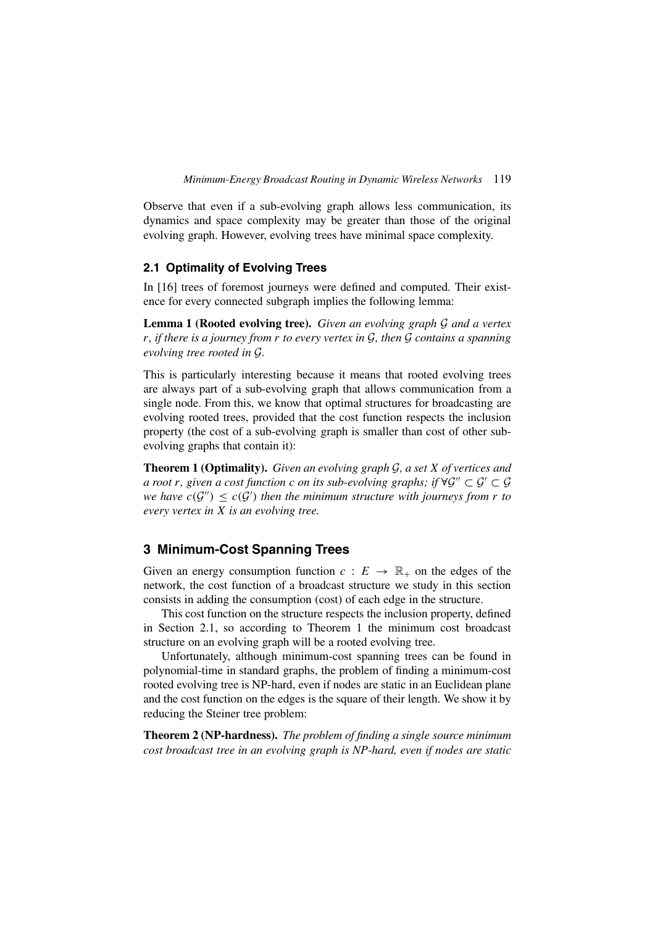*Minimum-Energy Broadcast Routing in Dynamic Wireless Networks* 119

Observe that even if a sub-evolving graph allows less communication, its dynamics and space complexity may be greater than those of the original evolving graph. However, evolving trees have minimal space complexity.

## **2.1 Optimality of Evolving Trees**

In [16] trees of foremost journeys were defined and computed. Their existence for every connected subgraph implies the following lemma:

**Lemma 1 (Rooted evolving tree).** *Given an evolving graph* G *and a vertex r, if there is a journey from r to every vertex in* G*, then* G *contains a spanning evolving tree rooted in* G*.*

This is particularly interesting because it means that rooted evolving trees are always part of a sub-evolving graph that allows communication from a single node. From this, we know that optimal structures for broadcasting are evolving rooted trees, provided that the cost function respects the inclusion property (the cost of a sub-evolving graph is smaller than cost of other subevolving graphs that contain it):

**Theorem 1 (Optimality).** *Given an evolving graph* G*, a set X of vertices and a root r*, given a cost function *c* on its sub-evolving graphs; if  $\forall G'' \subset G' \subset G$ *we have*  $c(G'') \leq c(G')$  *then the minimum structure with journeys from r to every vertex in X is an evolving tree.*

# **3 Minimum-Cost Spanning Trees**

Given an energy consumption function  $c: E \to \mathbb{R}_+$  on the edges of the network, the cost function of a broadcast structure we study in this section consists in adding the consumption (cost) of each edge in the structure.

This cost function on the structure respects the inclusion property, defined in Section 2.1, so according to Theorem 1 the minimum cost broadcast structure on an evolving graph will be a rooted evolving tree.

Unfortunately, although minimum-cost spanning trees can be found in polynomial-time in standard graphs, the problem of finding a minimum-cost rooted evolving tree is NP-hard, even if nodes are static in an Euclidean plane and the cost function on the edges is the square of their length. We show it by reducing the Steiner tree problem:

**Theorem 2 (NP-hardness).** *The problem of finding a single source minimum cost broadcast tree in an evolving graph is NP-hard, even if nodes are static*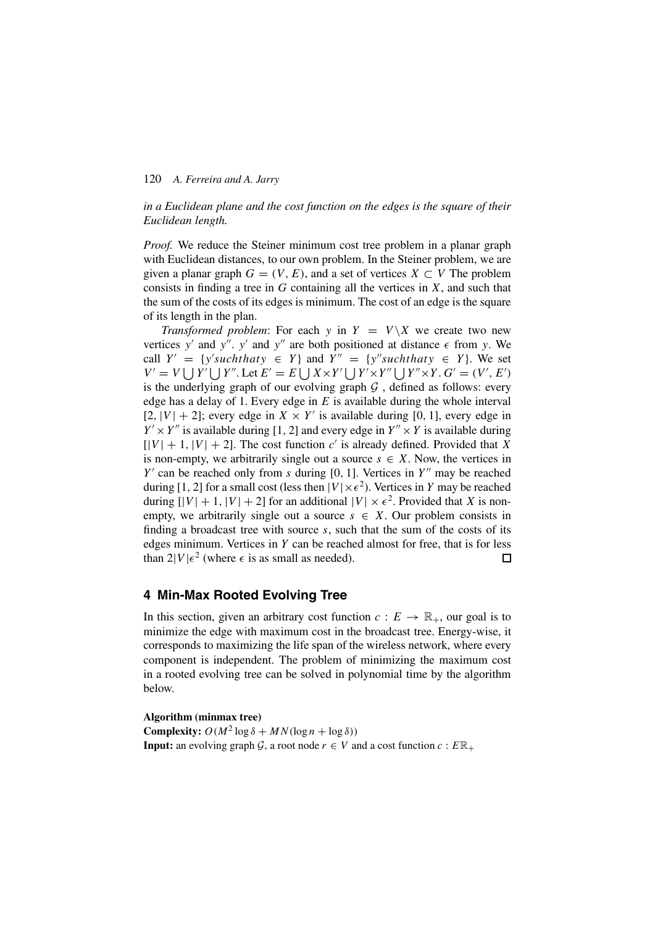### *in a Euclidean plane and the cost function on the edges is the square of their Euclidean length.*

*Proof.* We reduce the Steiner minimum cost tree problem in a planar graph with Euclidean distances, to our own problem. In the Steiner problem, we are given a planar graph  $G = (V, E)$ , and a set of vertices  $X \subset V$  The problem consists in finding a tree in *G* containing all the vertices in *X*, and such that the sum of the costs of its edges is minimum. The cost of an edge is the square of its length in the plan.

*Transformed problem*: For each *y* in  $Y = V \ X$  we create two new vertices y' and y''.  $y'$  and  $y''$  are both positioned at distance  $\epsilon$  from y. We call  $Y' = \{y'suchthaty \in Y\}$  and  $Y'' = \{y''suchthaty \in Y\}$ . We set  $V' = V \bigcup Y' \bigcup Y''$ . Let  $E' = E \bigcup X \times Y' \bigcup Y' \times Y'' \bigcup Y'' \times Y$ .  $G' = (V', E')$ is the underlying graph of our evolving graph  $G$ , defined as follows: every edge has a delay of 1. Every edge in *E* is available during the whole interval  $[2, |V| + 2]$ ; every edge in  $X \times Y'$  is available during [0, 1], every edge in  $Y' \times Y''$  is available during [1, 2] and every edge in  $Y'' \times Y$  is available during  $[|V| + 1, |V| + 2]$ . The cost function *c'* is already defined. Provided that *X* is non-empty, we arbitrarily single out a source  $s \in X$ . Now, the vertices in  $Y'$  can be reached only from *s* during [0, 1]. Vertices in  $Y''$  may be reached during [1, 2] for a small cost (less then  $|V| \times \epsilon^2$ ). Vertices in *Y* may be reached during  $[|V| + 1, |V| + 2]$  for an additional  $|V| \times \epsilon^2$ . Provided that *X* is nonempty, we arbitrarily single out a source  $s \in X$ . Our problem consists in finding a broadcast tree with source *s*, such that the sum of the costs of its edges minimum. Vertices in *Y* can be reached almost for free, that is for less than  $2|V|\epsilon^2$  (where  $\epsilon$  is as small as needed).  $\Box$ 

# **4 Min-Max Rooted Evolving Tree**

In this section, given an arbitrary cost function  $c : E \to \mathbb{R}_+$ , our goal is to minimize the edge with maximum cost in the broadcast tree. Energy-wise, it corresponds to maximizing the life span of the wireless network, where every component is independent. The problem of minimizing the maximum cost in a rooted evolving tree can be solved in polynomial time by the algorithm below.

**Algorithm (minmax tree) Complexity:**  $O(M^2 \log \delta + MN(\log n + \log \delta))$ **Input:** an evolving graph G, a root node  $r \in V$  and a cost function  $c : E\mathbb{R}_+$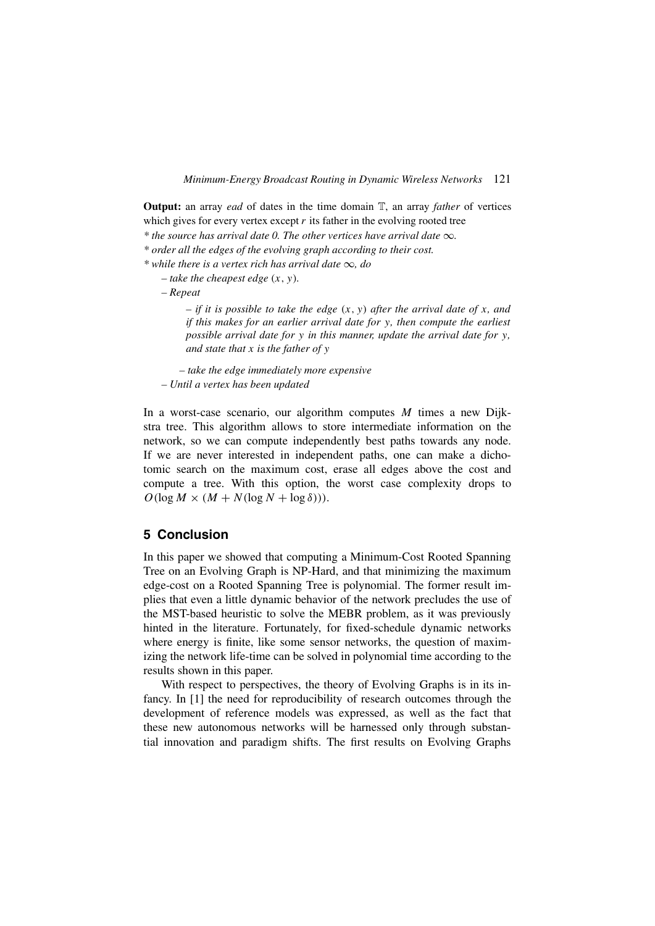**Output:** an array *ead* of dates in the time domain T, an array *father* of vertices which gives for every vertex except *r* its father in the evolving rooted tree

*\* the source has arrival date 0. The other vertices have arrival date* ∞*.*

*\* order all the edges of the evolving graph according to their cost.*

*\* while there is a vertex rich has arrival date* ∞*, do*

 $-$  take the cheapest edge  $(x, y)$ *.* 

*– Repeat*

 $-$  *if it is possible to take the edge*  $(x, y)$  *after the arrival date of x, and if this makes for an earlier arrival date for y, then compute the earliest possible arrival date for y in this manner, update the arrival date for y, and state that x is the father of y*

*– take the edge immediately more expensive – Until a vertex has been updated*

In a worst-case scenario, our algorithm computes *M* times a new Dijkstra tree. This algorithm allows to store intermediate information on the network, so we can compute independently best paths towards any node. If we are never interested in independent paths, one can make a dichotomic search on the maximum cost, erase all edges above the cost and compute a tree. With this option, the worst case complexity drops to  $O(\log M \times (M + N(\log N + \log \delta))).$ 

# **5 Conclusion**

In this paper we showed that computing a Minimum-Cost Rooted Spanning Tree on an Evolving Graph is NP-Hard, and that minimizing the maximum edge-cost on a Rooted Spanning Tree is polynomial. The former result implies that even a little dynamic behavior of the network precludes the use of the MST-based heuristic to solve the MEBR problem, as it was previously hinted in the literature. Fortunately, for fixed-schedule dynamic networks where energy is finite, like some sensor networks, the question of maximizing the network life-time can be solved in polynomial time according to the results shown in this paper.

With respect to perspectives, the theory of Evolving Graphs is in its infancy. In [1] the need for reproducibility of research outcomes through the development of reference models was expressed, as well as the fact that these new autonomous networks will be harnessed only through substantial innovation and paradigm shifts. The first results on Evolving Graphs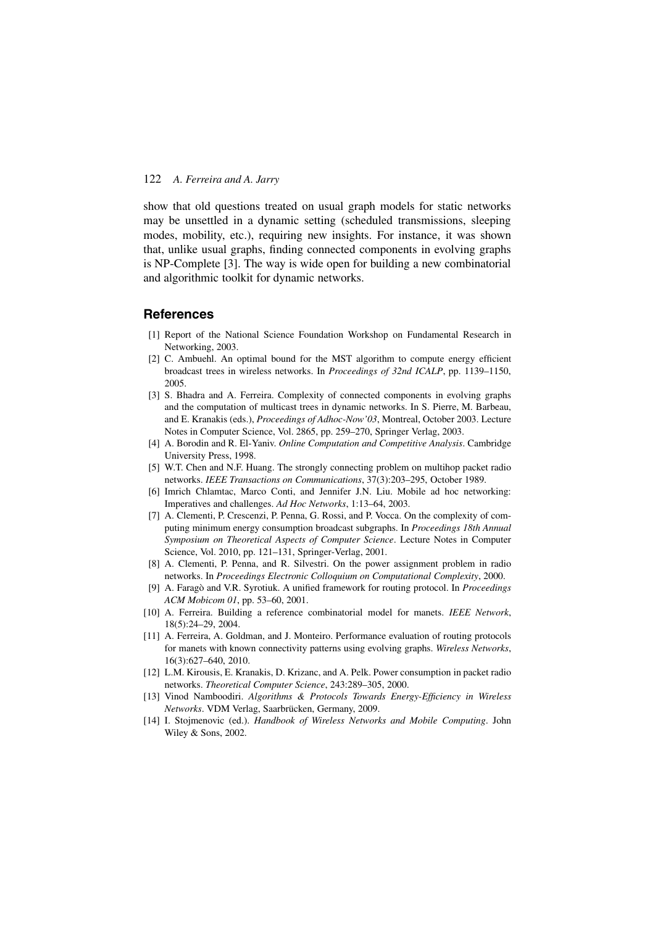show that old questions treated on usual graph models for static networks may be unsettled in a dynamic setting (scheduled transmissions, sleeping modes, mobility, etc.), requiring new insights. For instance, it was shown that, unlike usual graphs, finding connected components in evolving graphs is NP-Complete [3]. The way is wide open for building a new combinatorial and algorithmic toolkit for dynamic networks.

### **References**

- [1] Report of the National Science Foundation Workshop on Fundamental Research in Networking, 2003.
- [2] C. Ambuehl. An optimal bound for the MST algorithm to compute energy efficient broadcast trees in wireless networks. In *Proceedings of 32nd ICALP*, pp. 1139–1150, 2005.
- [3] S. Bhadra and A. Ferreira. Complexity of connected components in evolving graphs and the computation of multicast trees in dynamic networks. In S. Pierre, M. Barbeau, and E. Kranakis (eds.), *Proceedings of Adhoc-Now'03*, Montreal, October 2003. Lecture Notes in Computer Science, Vol. 2865, pp. 259–270, Springer Verlag, 2003.
- [4] A. Borodin and R. El-Yaniv. *Online Computation and Competitive Analysis*. Cambridge University Press, 1998.
- [5] W.T. Chen and N.F. Huang. The strongly connecting problem on multihop packet radio networks. *IEEE Transactions on Communications*, 37(3):203–295, October 1989.
- [6] Imrich Chlamtac, Marco Conti, and Jennifer J.N. Liu. Mobile ad hoc networking: Imperatives and challenges. *Ad Hoc Networks*, 1:13–64, 2003.
- [7] A. Clementi, P. Crescenzi, P. Penna, G. Rossi, and P. Vocca. On the complexity of computing minimum energy consumption broadcast subgraphs. In *Proceedings 18th Annual Symposium on Theoretical Aspects of Computer Science*. Lecture Notes in Computer Science, Vol. 2010, pp. 121–131, Springer-Verlag, 2001.
- [8] A. Clementi, P. Penna, and R. Silvestri. On the power assignment problem in radio networks. In *Proceedings Electronic Colloquium on Computational Complexity*, 2000.
- [9] A. Faragò and V.R. Syrotiuk. A unified framework for routing protocol. In *Proceedings ACM Mobicom 01*, pp. 53–60, 2001.
- [10] A. Ferreira. Building a reference combinatorial model for manets. *IEEE Network*, 18(5):24–29, 2004.
- [11] A. Ferreira, A. Goldman, and J. Monteiro. Performance evaluation of routing protocols for manets with known connectivity patterns using evolving graphs. *Wireless Networks*, 16(3):627–640, 2010.
- [12] L.M. Kirousis, E. Kranakis, D. Krizanc, and A. Pelk. Power consumption in packet radio networks. *Theoretical Computer Science*, 243:289–305, 2000.
- [13] Vinod Namboodiri. *Algorithms & Protocols Towards Energy-Efficiency in Wireless Networks*. VDM Verlag, Saarbrücken, Germany, 2009.
- [14] I. Stojmenovic (ed.). *Handbook of Wireless Networks and Mobile Computing*. John Wiley & Sons, 2002.